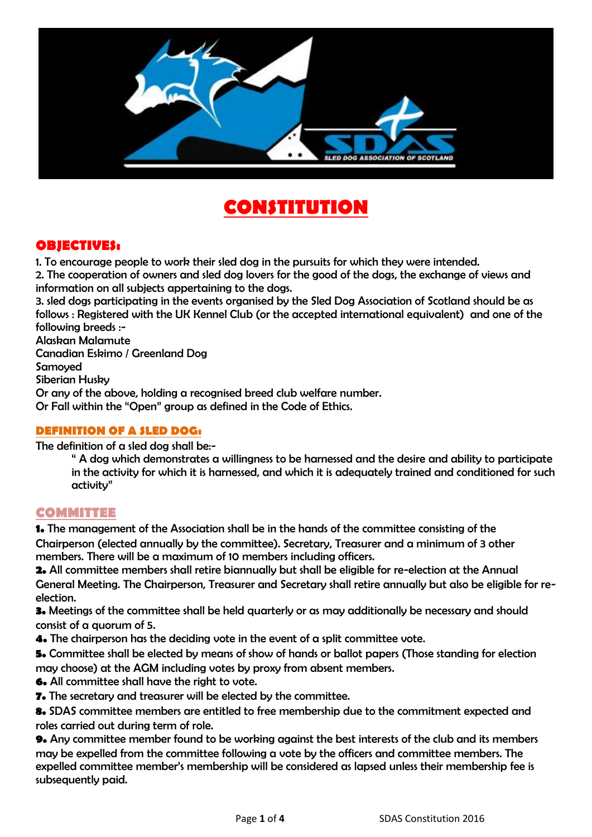

# **CONSTITUTION**

### **OBJECTIVES:**

1. To encourage people to work their sled dog in the pursuits for which they were intended.

2. The cooperation of owners and sled dog lovers for the good of the dogs, the exchange of views and information on all subjects appertaining to the dogs.

3. sled dogs participating in the events organised by the Sled Dog Association of Scotland should be as follows : Registered with the UK Kennel Club (or the accepted international equivalent) and one of the following breeds :-

Alaskan Malamute

Canadian Eskimo / Greenland Dog

Samoyed

Siberian Husky

Or any of the above, holding a recognised breed club welfare number.

Or Fall within the "Open" group as defined in the Code of Ethics.

#### **DEFINITION OF A SLED DOG:**

The definition of a sled dog shall be:-

" A dog which demonstrates a willingness to be harnessed and the desire and ability to participate in the activity for which it is harnessed, and which it is adequately trained and conditioned for such activity"

### **COMMITTEE**

**1.** The management of the Association shall be in the hands of the committee consisting of the Chairperson (elected annually by the committee). Secretary, Treasurer and a minimum of 3 other members. There will be a maximum of 10 members including officers.

**2.** All committee members shall retire biannually but shall be eligible for re-election at the Annual General Meeting. The Chairperson, Treasurer and Secretary shall retire annually but also be eligible for reelection.

**3.** Meetings of the committee shall be held quarterly or as may additionally be necessary and should consist of a quorum of 5.

**4.** The chairperson has the deciding vote in the event of a split committee vote.

**5.** Committee shall be elected by means of show of hands or ballot papers (Those standing for election may choose) at the AGM including votes by proxy from absent members.

**6.** All committee shall have the right to vote.

**7.** The secretary and treasurer will be elected by the committee.

**8.** SDAS committee members are entitled to free membership due to the commitment expected and roles carried out during term of role.

**9.** Any committee member found to be working against the best interests of the club and its members may be expelled from the committee following a vote by the officers and committee members. The expelled committee member's membership will be considered as lapsed unless their membership fee is subsequently paid.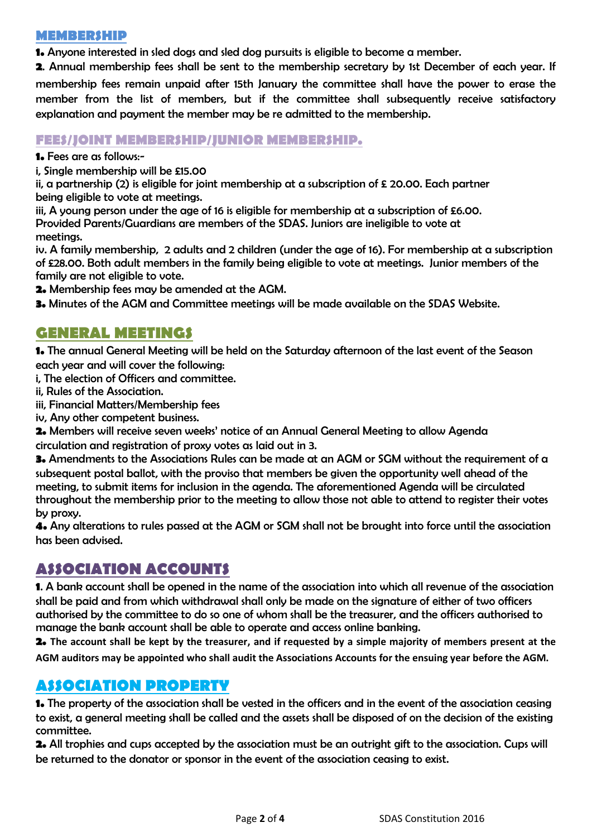#### **MEMBERSHIP**

**1.** Anyone interested in sled dogs and sled dog pursuits is eligible to become a member.

**2**. Annual membership fees shall be sent to the membership secretary by 1st December of each year. If membership fees remain unpaid after 15th January the committee shall have the power to erase the member from the list of members, but if the committee shall subsequently receive satisfactory explanation and payment the member may be re admitted to the membership.

#### **FEES/JOINT MEMBERSHIP/JUNIOR MEMBERSHIP.**

**1.** Fees are as follows:-

i, Single membership will be £15.00

ii, a partnership (2) is eligible for joint membership at a subscription of  $\epsilon$  20.00. Each partner being eligible to vote at meetings.

iii, A young person under the age of 16 is eligible for membership at a subscription of £6.00. Provided Parents/Guardians are members of the SDAS. Juniors are ineligible to vote at meetings.

iv. A family membership, 2 adults and 2 children (under the age of 16). For membership at a subscription of £28.00. Both adult members in the family being eligible to vote at meetings. Junior members of the family are not eligible to vote.

**2.** Membership fees may be amended at the AGM.

**3.** Minutes of the AGM and Committee meetings will be made available on the SDAS Website.

### **GENERAL MEETINGS**

**1.** The annual General Meeting will be held on the Saturday afternoon of the last event of the Season each year and will cover the following:

i, The election of Officers and committee.

- ii, Rules of the Association.
- iii, Financial Matters/Membership fees
- iv, Any other competent business.

**2.** Members will receive seven weeks' notice of an Annual General Meeting to allow Agenda circulation and registration of proxy votes as laid out in 3.

**3.** Amendments to the Associations Rules can be made at an AGM or SGM without the requirement of a subsequent postal ballot, with the proviso that members be given the opportunity well ahead of the meeting, to submit items for inclusion in the agenda. The aforementioned Agenda will be circulated throughout the membership prior to the meeting to allow those not able to attend to register their votes by proxy.

**4.** Any alterations to rules passed at the AGM or SGM shall not be brought into force until the association has been advised.

# **ASSOCIATION ACCOUNTS**

**1**. A bank account shall be opened in the name of the association into which all revenue of the association shall be paid and from which withdrawal shall only be made on the signature of either of two officers authorised by the committee to do so one of whom shall be the treasurer, and the officers authorised to manage the bank account shall be able to operate and access online banking.

**2. The account shall be kept by the treasurer, and if requested by a simple majority of members present at the AGM auditors may be appointed who shall audit the Associations Accounts for the ensuing year before the AGM.**

# **ASSOCIATION PROPERTY**

**1.** The property of the association shall be vested in the officers and in the event of the association ceasing to exist, a general meeting shall be called and the assets shall be disposed of on the decision of the existing committee.

**2.** All trophies and cups accepted by the association must be an outright gift to the association. Cups will be returned to the donator or sponsor in the event of the association ceasing to exist.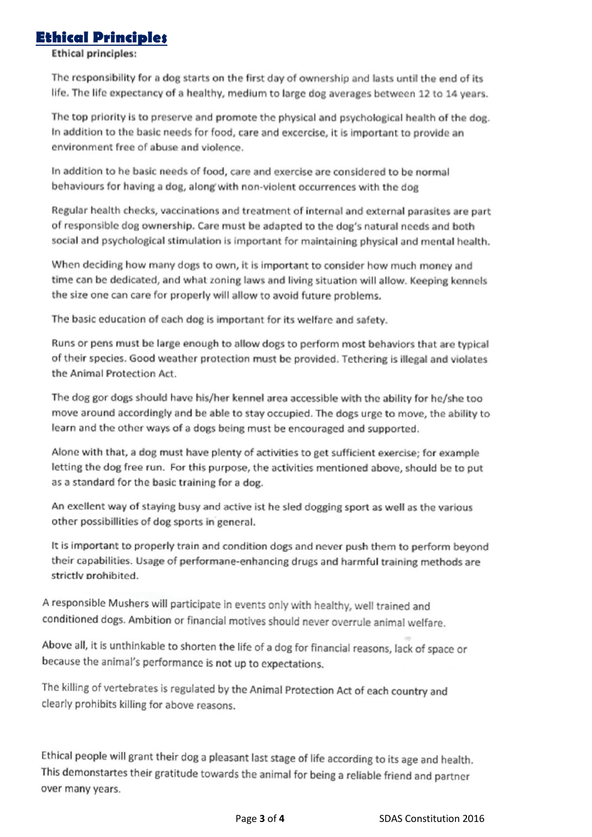### **Ethical Principles**

**Ethical principles:** 

The responsibility for a dog starts on the first day of ownership and lasts until the end of its life. The life expectancy of a healthy, medium to large dog averages between 12 to 14 years.

The top priority is to preserve and promote the physical and psychological health of the dog. In addition to the basic needs for food, care and excercise, it is important to provide an environment free of abuse and violence.

In addition to he basic needs of food, care and exercise are considered to be normal behaviours for having a dog, along with non-violent occurrences with the dog

Regular health checks, vaccinations and treatment of internal and external parasites are part of responsible dog ownership. Care must be adapted to the dog's natural needs and both social and psychological stimulation is important for maintaining physical and mental health.

When deciding how many dogs to own, it is important to consider how much money and time can be dedicated, and what zoning laws and living situation will allow. Keeping kennels the size one can care for properly will allow to avoid future problems.

The basic education of each dog is important for its welfare and safety.

Runs or pens must be large enough to allow dogs to perform most behaviors that are typical of their species. Good weather protection must be provided. Tethering is illegal and violates the Animal Protection Act.

The dog gor dogs should have his/her kennel area accessible with the ability for he/she too move around accordingly and be able to stay occupied. The dogs urge to move, the ability to learn and the other ways of a dogs being must be encouraged and supported.

Alone with that, a dog must have plenty of activities to get sufficient exercise; for example letting the dog free run. For this purpose, the activities mentioned above, should be to put as a standard for the basic training for a dog.

An exellent way of staying busy and active ist he sled dogging sport as well as the various other possibillities of dog sports in general.

It is important to properly train and condition dogs and never push them to perform beyond their capabilities. Usage of performane-enhancing drugs and harmful training methods are strictly prohibited.

A responsible Mushers will participate in events only with healthy, well trained and conditioned dogs. Ambition or financial motives should never overrule animal welfare.

Above all, it is unthinkable to shorten the life of a dog for financial reasons, lack of space or because the animal's performance is not up to expectations.

The killing of vertebrates is regulated by the Animal Protection Act of each country and clearly prohibits killing for above reasons.

Ethical people will grant their dog a pleasant last stage of life according to its age and health. This demonstartes their gratitude towards the animal for being a reliable friend and partner over many years.